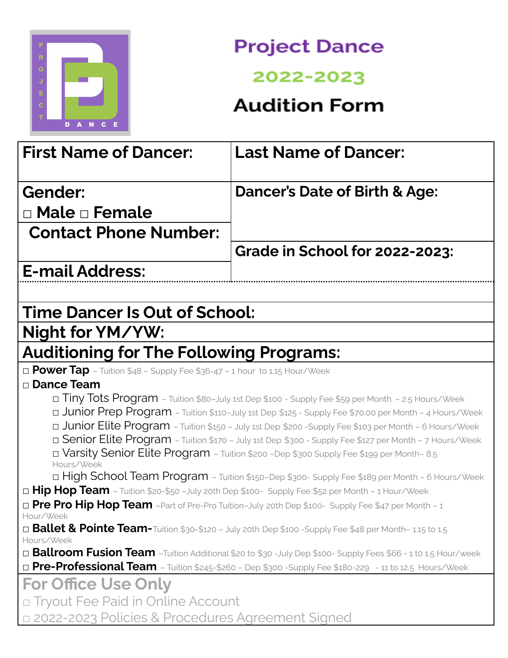

## **Project Dance**

## 2022-2023

## **Audition Form**

| <b>First Name of Dancer:</b>                                                                                                                                                                                                                                                                                             | <b>Last Name of Dancer:</b>              |            |                                                                                                 |
|--------------------------------------------------------------------------------------------------------------------------------------------------------------------------------------------------------------------------------------------------------------------------------------------------------------------------|------------------------------------------|------------|-------------------------------------------------------------------------------------------------|
| Gender:                                                                                                                                                                                                                                                                                                                  | <b>Dancer's Date of Birth &amp; Age:</b> |            |                                                                                                 |
| $\Box$ Male $\Box$ Female                                                                                                                                                                                                                                                                                                |                                          |            |                                                                                                 |
| <b>Contact Phone Number:</b>                                                                                                                                                                                                                                                                                             |                                          |            |                                                                                                 |
|                                                                                                                                                                                                                                                                                                                          | <b>Grade in School for 2022-2023:</b>    |            |                                                                                                 |
| <b>E-mail Address:</b>                                                                                                                                                                                                                                                                                                   |                                          |            |                                                                                                 |
|                                                                                                                                                                                                                                                                                                                          |                                          |            |                                                                                                 |
| <b>Time Dancer Is Out of School:</b>                                                                                                                                                                                                                                                                                     |                                          |            |                                                                                                 |
| Night for YM/YW:                                                                                                                                                                                                                                                                                                         |                                          |            |                                                                                                 |
| <b>Auditioning for The Following Programs:</b>                                                                                                                                                                                                                                                                           |                                          |            |                                                                                                 |
| $\Box$ Power Tap - Tuition \$48 - Supply Fee \$36-47 - 1 hour to 1.15 Hour/Week                                                                                                                                                                                                                                          |                                          |            |                                                                                                 |
| □ Dance Team                                                                                                                                                                                                                                                                                                             |                                          |            |                                                                                                 |
| Tiny Tots Program - Tuition \$80-July 1st Dep \$100 - Supply Fee \$59 per Month. - 2.5 Hours/Week                                                                                                                                                                                                                        |                                          |            |                                                                                                 |
| Junior Prep Program - Tuition \$110-July 1st Dep \$125 - Supply Fee \$70.00 per Month - 4 Hours/Week<br>Junior Elite Program - Tuition \$150 - July 1st Dep \$200 - Supply Fee \$103 per Month - 6 Hours/Week<br>D Senior Elite Program - Tuition \$170 - July 1st Dep \$300 - Supply Fee \$127 per Month - 7 Hours/Week |                                          |            |                                                                                                 |
|                                                                                                                                                                                                                                                                                                                          |                                          | Hours/Week | □ Varsity Senior Elite Program - Tuition \$200 -Dep \$300 Supply Fee \$199 per Month-8.5        |
|                                                                                                                                                                                                                                                                                                                          |                                          |            | D High School Team Program - Tuition \$150-Dep \$300- Supply Fee \$189 per Month - 6 Hours/Week |
| □ Hip Hop Team - Tuition \$20-\$50 -July 20th Dep \$100- Supply Fee \$52 per Month - 1 Hour/Week                                                                                                                                                                                                                         |                                          |            |                                                                                                 |
| D Pre Pro Hip Hop Team -Part of Pre-Pro Tuition-July 20th Dep \$100- Supply Fee \$47 per Month - 1                                                                                                                                                                                                                       |                                          |            |                                                                                                 |
| Hour/Week                                                                                                                                                                                                                                                                                                                |                                          |            |                                                                                                 |
| $\Box$ Ballet & Pointe Team-Tuition \$30-\$120 – July 20th Dep \$100 -Supply Fee \$48 per Month- 1.15 to 1.5                                                                                                                                                                                                             |                                          |            |                                                                                                 |
| Hours/Week                                                                                                                                                                                                                                                                                                               |                                          |            |                                                                                                 |
| □ Ballroom Fusion Team –Tuition Additional \$20 to \$30 -July Dep \$100- Supply Fees \$66 - 1 to 1.5 Hour/week<br>D Pre-Professional Team - Tuition \$245-\$260 - Dep \$300 -Supply Fee \$180-229 - 11 to 12.5 Hours/Week                                                                                                |                                          |            |                                                                                                 |
|                                                                                                                                                                                                                                                                                                                          |                                          |            |                                                                                                 |
| <b>For Office Use Only</b>                                                                                                                                                                                                                                                                                               |                                          |            |                                                                                                 |
| □ Tryout Fee Paid in Online Account                                                                                                                                                                                                                                                                                      |                                          |            |                                                                                                 |
| □ 2022-2023 Policies & Procedures Agreement Signed                                                                                                                                                                                                                                                                       |                                          |            |                                                                                                 |